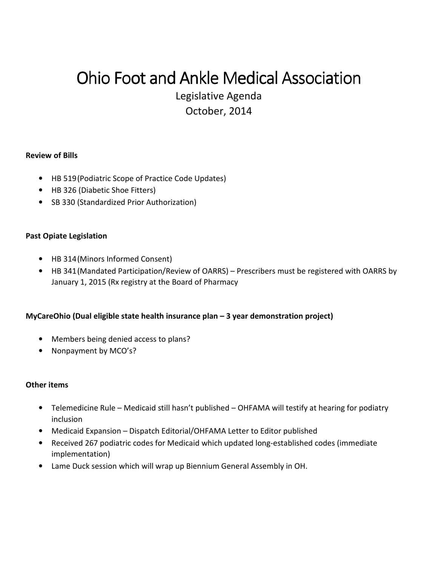# Ohio Foot and Ankle Medical Association

Legislative Agenda October, 2014

#### **Review of Bills**

- HB 519 (Podiatric Scope of Practice Code Updates)
- HB 326 (Diabetic Shoe Fitters)
- SB 330 (Standardized Prior Authorization)

#### **Past Opiate Legislation**

- HB 314 (Minors Informed Consent)
- HB 341 (Mandated Participation/Review of OARRS) Prescribers must be registered with OARRS by January 1, 2015 (Rx registry at the Board of Pharmacy

### **MyCareOhio (Dual eligible state health insurance plan – 3 year demonstration project)**

- Members being denied access to plans?
- Nonpayment by MCO's?

#### **Other items**

- Telemedicine Rule Medicaid still hasn't published OHFAMA will testify at hearing for podiatry inclusion
- Medicaid Expansion Dispatch Editorial/OHFAMA Letter to Editor published
- Received 267 podiatric codes for Medicaid which updated long-established codes (immediate implementation)
- Lame Duck session which will wrap up Biennium General Assembly in OH.